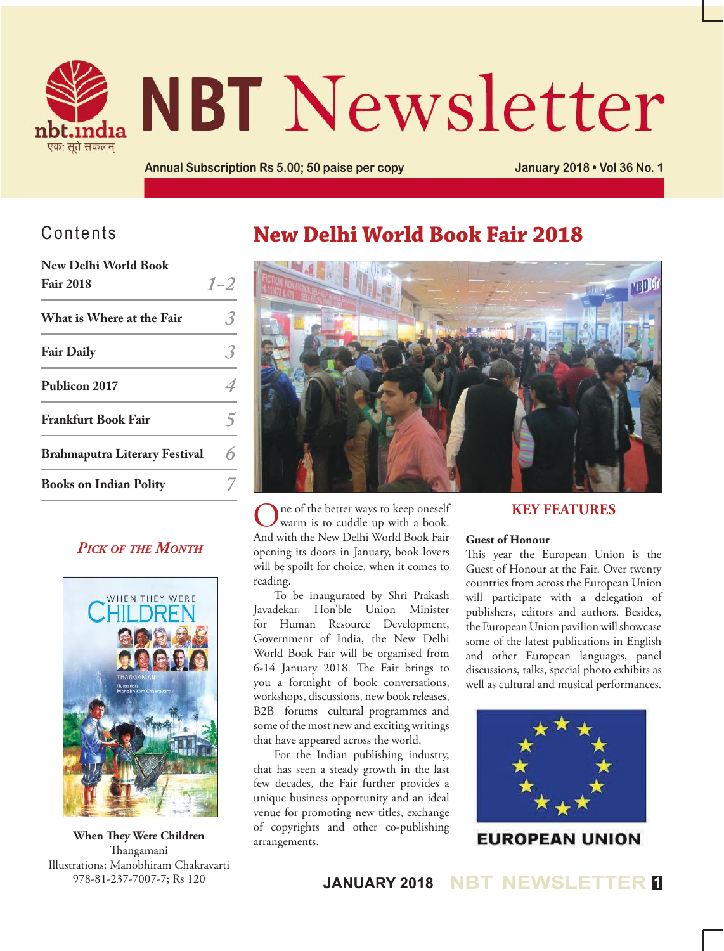

# **NBT Newsletter**

**Annual Subscription Rs 5.00; 50 paise per copy January 2018 • Vol 36 No. 1**

### Contents

| New Delhi World Book<br><b>Fair 2018</b> | $1 - 2$ |
|------------------------------------------|---------|
| What is Where at the Fair                |         |
| <b>Fair Daily</b>                        |         |
| Publicon 2017                            |         |
| <b>Frankfurt Book Fair</b>               |         |
| <b>Brahmaputra Literary Festival</b>     |         |
| <b>Books on Indian Polity</b>            |         |

### *Pick of the Month*



**When They Were Children** Thangamani Illustrations: Manobhiram Chakravarti 978-81-237-7007-7; Rs 120

## **New Delhi World Book Fair 2018**



ne of the better ways to keep oneself warm is to cuddle up with a book. And with the New Delhi World Book Fair opening its doors in January, book lovers will be spoilt for choice, when it comes to reading.

To be inaugurated by Shri Prakash Javadekar, Hon'ble Union Minister for Human Resource Development, Government of India, the New Delhi World Book Fair will be organised from 6-14 January 2018. The Fair brings to you a fortnight of book conversations, workshops, discussions, new book releases, B2B forums cultural programmes and some of the most new and exciting writings that have appeared across the world.

For the Indian publishing industry, that has seen a steady growth in the last few decades, the Fair further provides a unique business opportunity and an ideal venue for promoting new titles, exchange of copyrights and other co-publishing arrangements.

### **Key Features**

### **Guest of Honour**

This year the European Union is the Guest of Honour at the Fair. Over twenty countries from across the European Union will participate with a delegation of publishers, editors and authors. Besides, the European Union pavilion will showcase some of the latest publications in English and other European languages, panel discussions, talks, special photo exhibits as well as cultural and musical performances.



**EUROPEAN UNION** 

**JANUARY 2018 NBT NEWSLETTER <sup>1</sup>**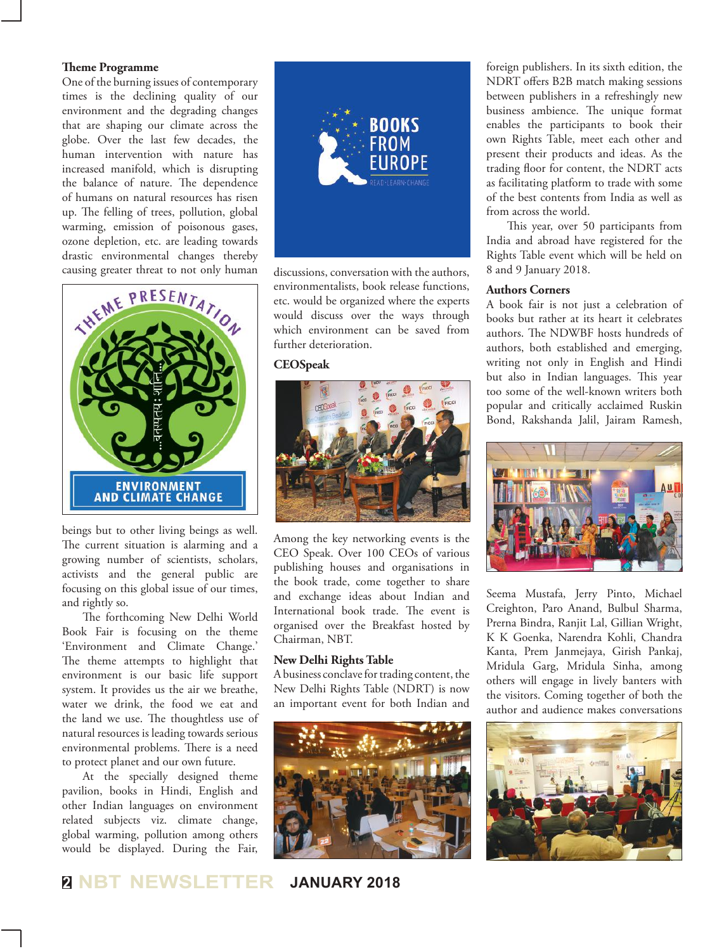### **Theme Programme**

One of the burning issues of contemporary times is the declining quality of our environment and the degrading changes that are shaping our climate across the globe. Over the last few decades, the human intervention with nature has increased manifold, which is disrupting the balance of nature. The dependence of humans on natural resources has risen up. The felling of trees, pollution, global warming, emission of poisonous gases, ozone depletion, etc. are leading towards drastic environmental changes thereby causing greater threat to not only human



beings but to other living beings as well. The current situation is alarming and a growing number of scientists, scholars, activists and the general public are focusing on this global issue of our times, and rightly so.

The forthcoming New Delhi World Book Fair is focusing on the theme 'Environment and Climate Change.' The theme attempts to highlight that environment is our basic life support system. It provides us the air we breathe, water we drink, the food we eat and the land we use. The thoughtless use of natural resources is leading towards serious environmental problems. There is a need to protect planet and our own future.

At the specially designed theme pavilion, books in Hindi, English and other Indian languages on environment related subjects viz. climate change, global warming, pollution among others would be displayed. During the Fair,



discussions, conversation with the authors, environmentalists, book release functions, etc. would be organized where the experts would discuss over the ways through which environment can be saved from further deterioration.

### **CEOSpeak**



Among the key networking events is the CEO Speak. Over 100 CEOs of various publishing houses and organisations in the book trade, come together to share and exchange ideas about Indian and International book trade. The event is organised over the Breakfast hosted by Chairman, NBT.

### **New Delhi Rights Table**

A business conclave for trading content, the New Delhi Rights Table (NDRT) is now an important event for both Indian and



**<sup>2</sup> NBT NEWSLETTER JANUARY 2018**

foreign publishers. In its sixth edition, the NDRT offers B2B match making sessions between publishers in a refreshingly new business ambience. The unique format enables the participants to book their own Rights Table, meet each other and present their products and ideas. As the trading floor for content, the NDRT acts as facilitating platform to trade with some of the best contents from India as well as from across the world.

This year, over 50 participants from India and abroad have registered for the Rights Table event which will be held on 8 and 9 January 2018.

### **Authors Corners**

A book fair is not just a celebration of books but rather at its heart it celebrates authors. The NDWBF hosts hundreds of authors, both established and emerging, writing not only in English and Hindi but also in Indian languages. This year too some of the well-known writers both popular and critically acclaimed Ruskin Bond, Rakshanda Jalil, Jairam Ramesh,



Seema Mustafa, Jerry Pinto, Michael Creighton, Paro Anand, Bulbul Sharma, Prerna Bindra, Ranjit Lal, Gillian Wright, K K Goenka, Narendra Kohli, Chandra Kanta, Prem Janmejaya, Girish Pankaj, Mridula Garg, Mridula Sinha, among others will engage in lively banters with the visitors. Coming together of both the author and audience makes conversations

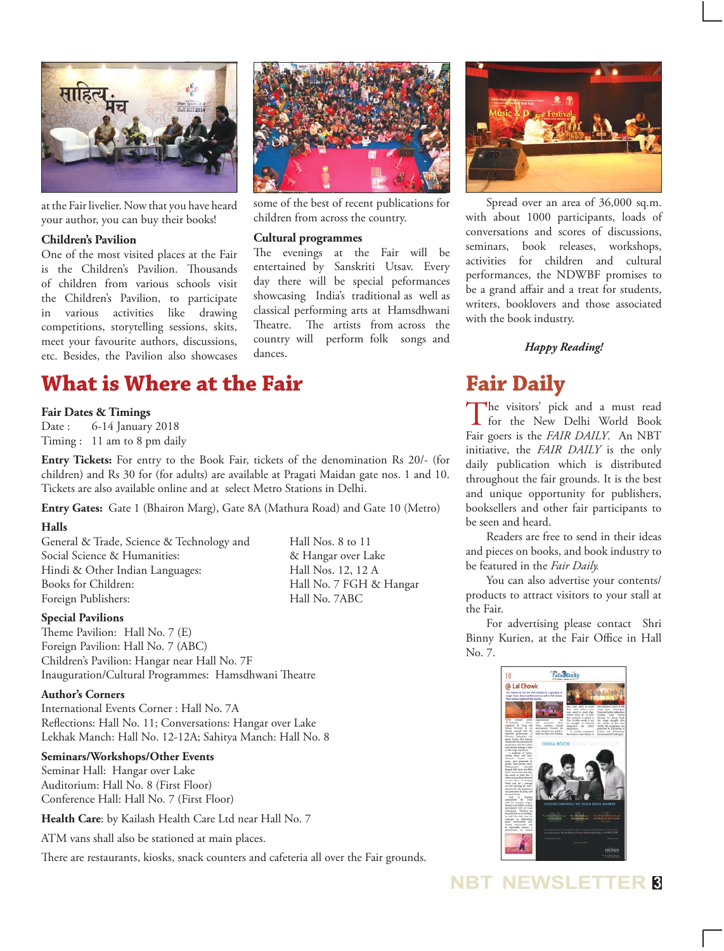

at the Fair livelier. Now that you have heard your author, you can buy their books!

### **Children's Pavilion**

One of the most visited places at the Fair is the Children's Pavilion. Thousands of children from various schools visit the Children's Pavilion, to participate in various activities like drawing competitions, storytelling sessions, skits, meet your favourite authors, discussions, etc. Besides, the Pavilion also showcases



some of the best of recent publications for children from across the country.

#### **Cultural programmes**

The evenings at the Fair will be entertained by Sanskriti Utsav. Every day there will be special peformances showcasing India's traditional as well as classical performing arts at Hamsdhwani Theatre. The artists from across the country will perform folk songs and dances.



Spread over an area of 36,000 sq.m. with about 1000 participants, loads of conversations and scores of discussions, seminars, book releases, workshops, activities for children and cultural performances, the NDWBF promises to be a grand affair and a treat for students, writers, booklovers and those associated with the book industry.

### *Happy Reading!*

### **Fair Daily**

The visitors' pick and a must read<br>for the New Delhi World Book Fair goers is the *FAIR DAILY*. An NBT initiative, the *FAIR DAILY* is the only daily publication which is distributed throughout the fair grounds. It is the best and unique opportunity for publishers, booksellers and other fair participants to be seen and heard.

Readers are free to send in their ideas and pieces on books, and book industry to be featured in the *Fair Daily.*

You can also advertise your contents/ products to attract visitors to your stall at the Fair.

For advertising please contact Shri Binny Kurien, at the Fair Office in Hall No. 7.



### **What is Where at the Fair**

### **Fair Dates & Timings**

Date : 6-14 January 2018 Timing : 11 am to 8 pm daily

**Entry Tickets:** For entry to the Book Fair, tickets of the denomination Rs 20/- (for children) and Rs 30 for (for adults) are available at Pragati Maidan gate nos. 1 and 10. Tickets are also available online and at select Metro Stations in Delhi.

**Entry Gates:** Gate 1 (Bhairon Marg), Gate 8A (Mathura Road) and Gate 10 (Metro)

### **Halls**

General & Trade, Science & Technology and Hall Nos. 8 to 11 Social Science & Humanities:  $\&$  Hangar over Lake Hindi & Other Indian Languages: Hall Nos. 12, 12 A Books for Children: Hall No. 7 FGH & Hangar Foreign Publishers: Hall No. 7ABC

#### **Special Pavilions**

Theme Pavilion: Hall No. 7 (E) Foreign Pavilion: Hall No. 7 (ABC) Children's Pavilion: Hangar near Hall No. 7F Inauguration/Cultural Programmes: Hamsdhwani Theatre

### **Author's Corners**

International Events Corner : Hall No. 7A Reflections: Hall No. 11; Conversations: Hangar over Lake Lekhak Manch: Hall No. 12-12A; Sahitya Manch: Hall No. 8

#### **Seminars/Workshops/Other Events**

Seminar Hall: Hangar over Lake Auditorium: Hall No. 8 (First Floor) Conference Hall: Hall No. 7 (First Floor)

**Health Care**: by Kailash Health Care Ltd near Hall No. 7

ATM vans shall also be stationed at main places.

There are restaurants, kiosks, snack counters and cafeteria all over the Fair grounds.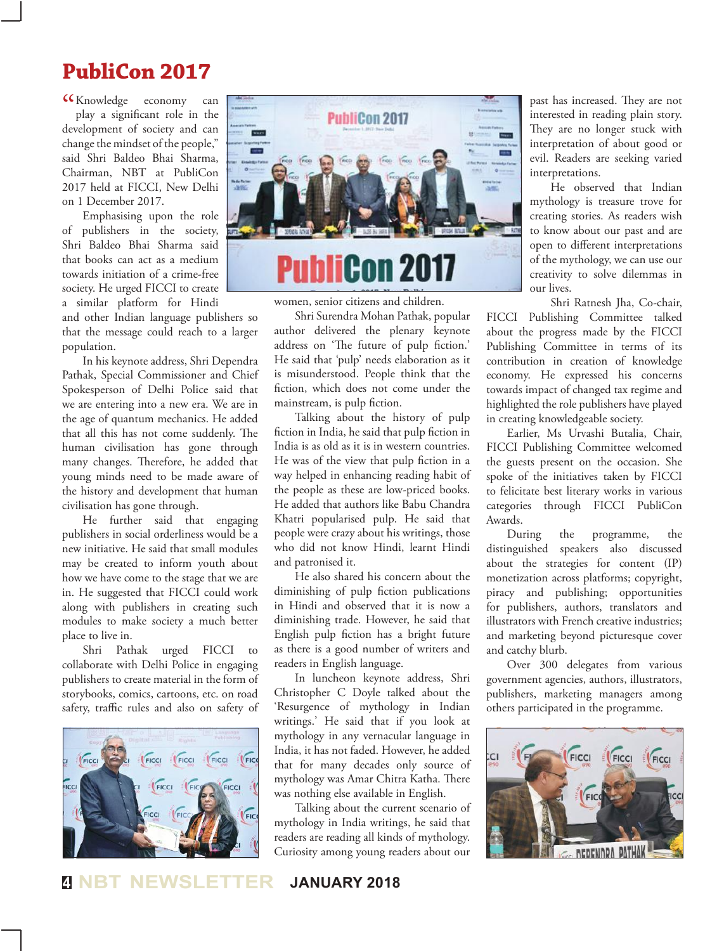### **PubliCon 2017**

CC Knowledge economy can play a significant role in the play a significant role in the development of society and can change the mindset of the people," said Shri Baldeo Bhai Sharma, Chairman, NBT at PubliCon 2017 held at FICCI, New Delhi on 1 December 2017.

Emphasising upon the role of publishers in the society, Shri Baldeo Bhai Sharma said that books can act as a medium towards initiation of a crime-free society. He urged FICCI to create a similar platform for Hindi

and other Indian language publishers so that the message could reach to a larger population.

In his keynote address, Shri Dependra Pathak, Special Commissioner and Chief Spokesperson of Delhi Police said that we are entering into a new era. We are in the age of quantum mechanics. He added that all this has not come suddenly. The human civilisation has gone through many changes. Therefore, he added that young minds need to be made aware of the history and development that human civilisation has gone through.

He further said that engaging publishers in social orderliness would be a new initiative. He said that small modules may be created to inform youth about how we have come to the stage that we are in. He suggested that FICCI could work along with publishers in creating such modules to make society a much better place to live in.

Shri Pathak urged FICCI to collaborate with Delhi Police in engaging publishers to create material in the form of storybooks, comics, cartoons, etc. on road safety, traffic rules and also on safety of





Shri Surendra Mohan Pathak, popular author delivered the plenary keynote address on 'The future of pulp fiction.' He said that 'pulp' needs elaboration as it is misunderstood. People think that the fiction, which does not come under the mainstream, is pulp fiction.

Talking about the history of pulp fiction in India, he said that pulp fiction in India is as old as it is in western countries. He was of the view that pulp fiction in a way helped in enhancing reading habit of the people as these are low-priced books. He added that authors like Babu Chandra Khatri popularised pulp. He said that people were crazy about his writings, those who did not know Hindi, learnt Hindi and patronised it.

He also shared his concern about the diminishing of pulp fiction publications in Hindi and observed that it is now a diminishing trade. However, he said that English pulp fiction has a bright future as there is a good number of writers and readers in English language.

In luncheon keynote address, Shri Christopher C Doyle talked about the 'Resurgence of mythology in Indian writings.' He said that if you look at mythology in any vernacular language in India, it has not faded. However, he added that for many decades only source of mythology was Amar Chitra Katha. There was nothing else available in English.

Talking about the current scenario of mythology in India writings, he said that readers are reading all kinds of mythology. Curiosity among young readers about our

past has increased. They are not interested in reading plain story. They are no longer stuck with interpretation of about good or evil. Readers are seeking varied interpretations.

He observed that Indian mythology is treasure trove for creating stories. As readers wish to know about our past and are open to different interpretations of the mythology, we can use our creativity to solve dilemmas in our lives.

Shri Ratnesh Jha, Co-chair, FICCI Publishing Committee talked about the progress made by the FICCI Publishing Committee in terms of its contribution in creation of knowledge economy. He expressed his concerns towards impact of changed tax regime and highlighted the role publishers have played in creating knowledgeable society.

Earlier, Ms Urvashi Butalia, Chair, FICCI Publishing Committee welcomed the guests present on the occasion. She spoke of the initiatives taken by FICCI to felicitate best literary works in various categories through FICCI PubliCon Awards.

During the programme, the distinguished speakers also discussed about the strategies for content (IP) monetization across platforms; copyright, piracy and publishing; opportunities for publishers, authors, translators and illustrators with French creative industries; and marketing beyond picturesque cover and catchy blurb.

Over 300 delegates from various government agencies, authors, illustrators, publishers, marketing managers among others participated in the programme.



**<sup>4</sup> NBT NEWSLETTER JANUARY 2018**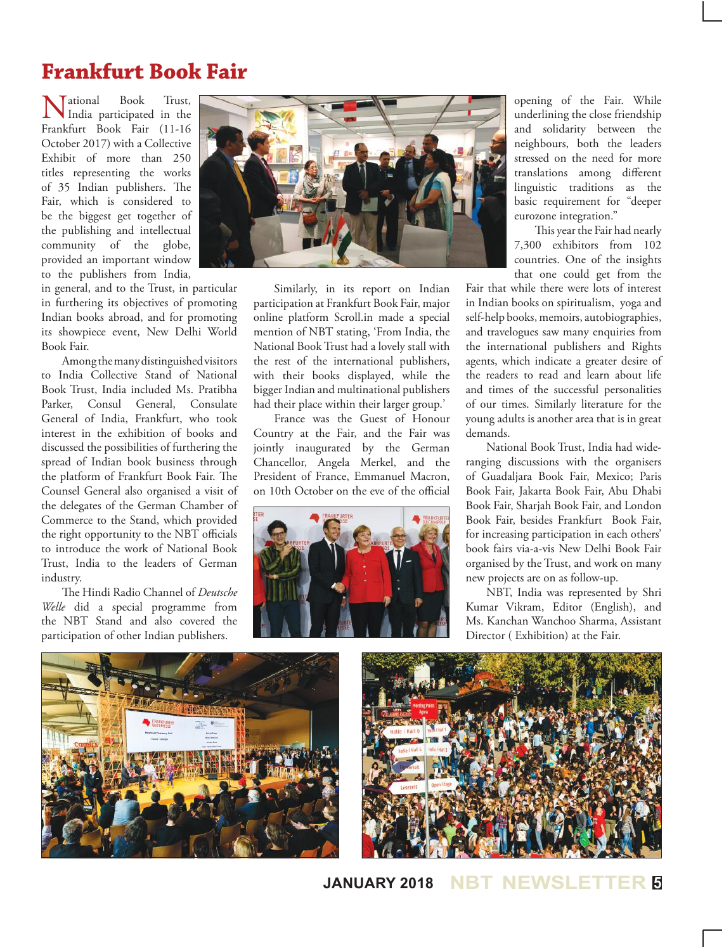# **Frankfurt Book Fair**

Mational Book Trust,<br>
India participated in the Frankfurt Book Fair (11-16 October 2017) with a Collective Exhibit of more than 250 titles representing the works of 35 Indian publishers. The Fair, which is considered to be the biggest get together of the publishing and intellectual community of the globe, provided an important window to the publishers from India,

in general, and to the Trust, in particular in furthering its objectives of promoting Indian books abroad, and for promoting its showpiece event, New Delhi World Book Fair.

Among the many distinguished visitors to India Collective Stand of National Book Trust, India included Ms. Pratibha Parker, Consul General, Consulate General of India, Frankfurt, who took interest in the exhibition of books and discussed the possibilities of furthering the spread of Indian book business through the platform of Frankfurt Book Fair. The Counsel General also organised a visit of the delegates of the German Chamber of Commerce to the Stand, which provided the right opportunity to the NBT officials to introduce the work of National Book Trust, India to the leaders of German industry.

The Hindi Radio Channel of *Deutsche Welle* did a special programme from the NBT Stand and also covered the participation of other Indian publishers.



Similarly, in its report on Indian participation at Frankfurt Book Fair, major online platform Scroll.in made a special mention of NBT stating, 'From India, the National Book Trust had a lovely stall with the rest of the international publishers, with their books displayed, while the bigger Indian and multinational publishers had their place within their larger group.'

France was the Guest of Honour Country at the Fair, and the Fair was jointly inaugurated by the German Chancellor, Angela Merkel, and the President of France, Emmanuel Macron, on 10th October on the eve of the official



opening of the Fair. While underlining the close friendship and solidarity between the neighbours, both the leaders stressed on the need for more translations among different linguistic traditions as the basic requirement for "deeper eurozone integration."

This year the Fair had nearly 7,300 exhibitors from 102 countries. One of the insights that one could get from the

Fair that while there were lots of interest in Indian books on spiritualism, yoga and self-help books, memoirs, autobiographies, and travelogues saw many enquiries from the international publishers and Rights agents, which indicate a greater desire of the readers to read and learn about life and times of the successful personalities of our times. Similarly literature for the young adults is another area that is in great demands.

National Book Trust, India had wideranging discussions with the organisers of Guadaljara Book Fair, Mexico; Paris Book Fair, Jakarta Book Fair, Abu Dhabi Book Fair, Sharjah Book Fair, and London Book Fair, besides Frankfurt Book Fair, for increasing participation in each others' book fairs via-a-vis New Delhi Book Fair organised by the Trust, and work on many new projects are on as follow-up.

NBT, India was represented by Shri Kumar Vikram, Editor (English), and Ms. Kanchan Wanchoo Sharma, Assistant Director ( Exhibition) at the Fair.





**JANUARY 2018 NBT NEWSLETTER <sup>5</sup>**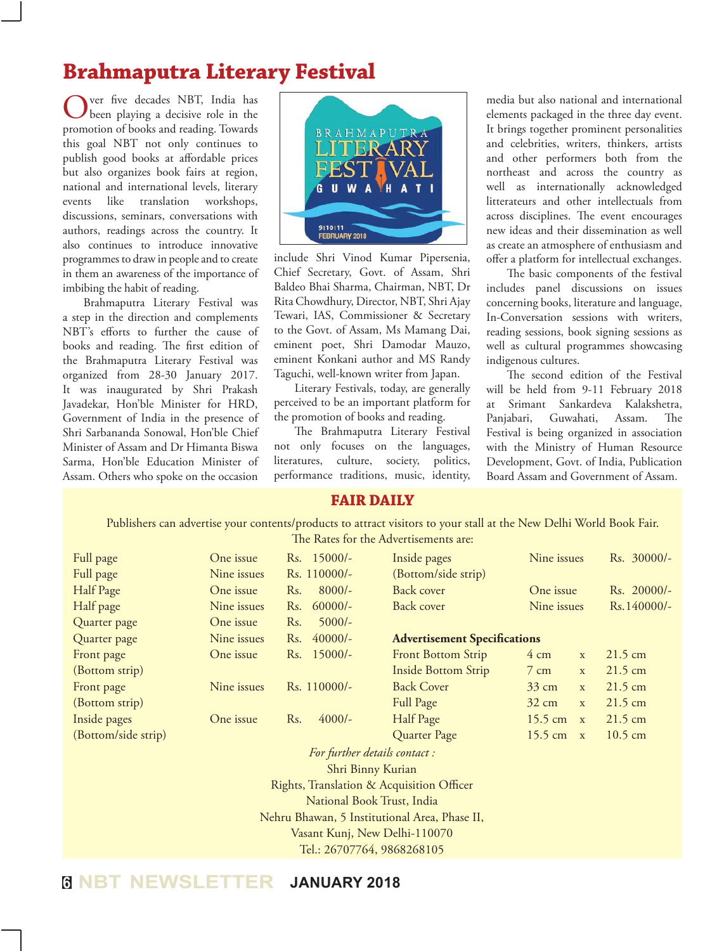### **Brahmaputra Literary Festival**

ver five decades NBT, India has been playing a decisive role in the promotion of books and reading. Towards this goal NBT not only continues to publish good books at affordable prices but also organizes book fairs at region, national and international levels, literary events like translation workshops, discussions, seminars, conversations with authors, readings across the country. It also continues to introduce innovative programmes to draw in people and to create in them an awareness of the importance of imbibing the habit of reading.

Brahmaputra Literary Festival was a step in the direction and complements NBT's efforts to further the cause of books and reading. The first edition of the Brahmaputra Literary Festival was organized from 28-30 January 2017. It was inaugurated by Shri Prakash Javadekar, Hon'ble Minister for HRD, Government of India in the presence of Shri Sarbananda Sonowal, Hon'ble Chief Minister of Assam and Dr Himanta Biswa Sarma, Hon'ble Education Minister of Assam. Others who spoke on the occasion



include Shri Vinod Kumar Pipersenia, Chief Secretary, Govt. of Assam, Shri Baldeo Bhai Sharma, Chairman, NBT, Dr Rita Chowdhury, Director, NBT, Shri Ajay Tewari, IAS, Commissioner & Secretary to the Govt. of Assam, Ms Mamang Dai, eminent poet, Shri Damodar Mauzo, eminent Konkani author and MS Randy Taguchi, well-known writer from Japan.

Literary Festivals, today, are generally perceived to be an important platform for the promotion of books and reading.

The Brahmaputra Literary Festival not only focuses on the languages, literatures, culture, society, politics, performance traditions, music, identity,

media but also national and international elements packaged in the three day event. It brings together prominent personalities and celebrities, writers, thinkers, artists and other performers both from the northeast and across the country as well as internationally acknowledged litterateurs and other intellectuals from across disciplines. The event encourages new ideas and their dissemination as well as create an atmosphere of enthusiasm and offer a platform for intellectual exchanges.

The basic components of the festival includes panel discussions on issues concerning books, literature and language, In-Conversation sessions with writers, reading sessions, book signing sessions as well as cultural programmes showcasing indigenous cultures.

The second edition of the Festival will be held from 9-11 February 2018 at Srimant Sankardeva Kalakshetra, Panjabari, Guwahati, Assam. The Festival is being organized in association with the Ministry of Human Resource Development, Govt. of India, Publication Board Assam and Government of Assam.

### **Fair Daily**

Publishers can advertise your contents/products to attract visitors to your stall at the New Delhi World Book Fair. The Rates for the Advertisements are:

| Full page                                     | One issue   |     | Rs. 15000/-  | Inside pages                        | Nine issues       |              | Rs. 30000/-       |  |  |
|-----------------------------------------------|-------------|-----|--------------|-------------------------------------|-------------------|--------------|-------------------|--|--|
| Full page                                     | Nine issues |     | Rs. 110000/- | (Bottom/side strip)                 |                   |              |                   |  |  |
| Half Page                                     | One issue   | Rs. | $8000/-$     | Back cover                          | One issue         |              | Rs. 20000/-       |  |  |
| Half page                                     | Nine issues | Rs. | $60000/-$    | <b>Back cover</b>                   | Nine issues       |              | Rs. 140000/-      |  |  |
| Quarter page                                  | One issue   | Rs. | $5000/-$     |                                     |                   |              |                   |  |  |
| Quarter page                                  | Nine issues | Rs. | $40000/-$    | <b>Advertisement Specifications</b> |                   |              |                   |  |  |
| Front page                                    | One issue   |     | Rs. 15000/-  | Front Bottom Strip                  | $4 \text{ cm}$    | $\mathbf{x}$ | $21.5 \text{ cm}$ |  |  |
| (Bottom strip)                                |             |     |              | <b>Inside Bottom Strip</b>          | $7 \text{ cm}$    | $\mathbf{x}$ | $21.5 \text{ cm}$ |  |  |
| Front page                                    | Nine issues |     | Rs. 110000/- | <b>Back Cover</b>                   | $33 \text{ cm}$   | $\mathbf{X}$ | $21.5 \text{ cm}$ |  |  |
| (Bottom strip)                                |             |     |              | Full Page                           | $32 \text{ cm}$   | $\mathbf{X}$ | 21.5 cm           |  |  |
| Inside pages                                  | One issue   | Rs. | $4000/-$     | Half Page                           | 15.5 cm           | X            | $21.5 \text{ cm}$ |  |  |
| (Bottom/side strip)                           |             |     |              | Quarter Page                        | $15.5 \text{ cm}$ | $\mathbf{X}$ | $10.5 \text{ cm}$ |  |  |
| For further details contact :                 |             |     |              |                                     |                   |              |                   |  |  |
| Shri Binny Kurian                             |             |     |              |                                     |                   |              |                   |  |  |
| Rights, Translation & Acquisition Officer     |             |     |              |                                     |                   |              |                   |  |  |
| National Book Trust, India                    |             |     |              |                                     |                   |              |                   |  |  |
| Nehru Bhawan, 5 Institutional Area, Phase II, |             |     |              |                                     |                   |              |                   |  |  |
| Vasant Kunj, New Delhi-110070                 |             |     |              |                                     |                   |              |                   |  |  |
| Tel.: 26707764, 9868268105                    |             |     |              |                                     |                   |              |                   |  |  |
|                                               |             |     |              |                                     |                   |              |                   |  |  |

### **<sup>6</sup> NBT NEWSLETTER JANUARY 2018**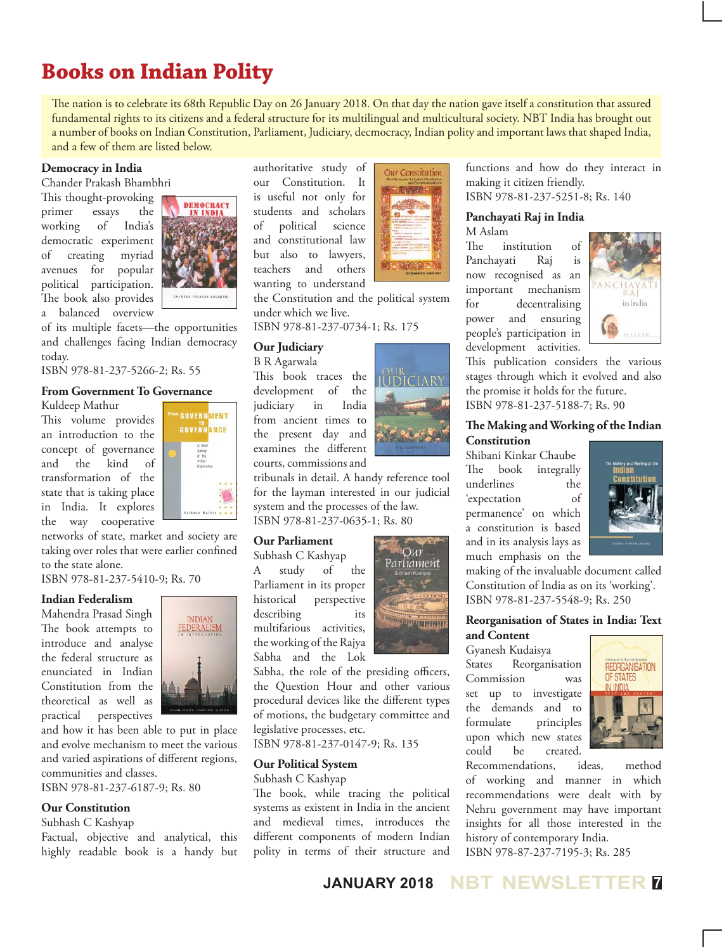# **Books on Indian Polity**

The nation is to celebrate its 68th Republic Day on 26 January 2018. On that day the nation gave itself a constitution that assured fundamental rights to its citizens and a federal structure for its multilingual and multicultural society. NBT India has brought out a number of books on Indian Constitution, Parliament, Judiciary, decmocracy, Indian polity and important laws that shaped India, and a few of them are listed below.

### **Democracy in India**

Chander Prakash Bhambhri

This thought-provoking primer essays the working of India's democratic experiment of creating myriad avenues for popular political participation. The book also provides a balanced overview



of its multiple facets—the opportunities and challenges facing Indian democracy today.

ISBN 978-81-237-5266-2; Rs. 55

### **From Government To Governance**

Kuldeep Mathur This volume provides an introduction to the concept of governance and the kind of transformation of the state that is taking place in India. It explores the way cooperative



networks of state, market and society are taking over roles that were earlier confined to the state alone.

ISBN 978-81-237-5410-9; Rs. 70

### **Indian Federalism**

Mahendra Prasad Singh The book attempts to introduce and analyse the federal structure as enunciated in Indian Constitution from the theoretical as well as practical perspectives



and how it has been able to put in place and evolve mechanism to meet the various and varied aspirations of different regions, communities and classes.

ISBN 978-81-237-6187-9; Rs. 80

### **Our Constitution**

Subhash C Kashyap

Factual, objective and analytical, this highly readable book is a handy but authoritative study of our Constitution. It is useful not only for students and scholars of political science and constitutional law but also to lawyers, teachers and others wanting to understand

the Constitution and the political system under which we live.

ISBN 978-81-237-0734-1; Rs. 175

### **Our Judiciary**

B R Agarwala This book traces the development of the judiciary in India from ancient times to the present day and examines the different courts, commissions and



Our Constitution

tribunals in detail. A handy reference tool for the layman interested in our judicial system and the processes of the law. ISBN 978-81-237-0635-1; Rs. 80

### **Our Parliament**

Subhash C Kashyap A study of the Parliament in its proper historical perspective describing its multifarious activities, the working of the Rajya Sabha and the Lok



Sabha, the role of the presiding officers, the Question Hour and other various procedural devices like the different types of motions, the budgetary committee and legislative processes, etc.

ISBN 978-81-237-0147-9; Rs. 135

### **Our Political System**

Subhash C Kashyap

The book, while tracing the political systems as existent in India in the ancient and medieval times, introduces the different components of modern Indian polity in terms of their structure and

functions and how do they interact in making it citizen friendly. ISBN 978-81-237-5251-8; Rs. 140

#### **Panchayati Raj in India** M Aslam

The institution of Panchayati Raj is now recognised as an important mechanism for decentralising power and ensuring people's participation in development activities.



This publication considers the various stages through which it evolved and also the promise it holds for the future. ISBN 978-81-237-5188-7; Rs. 90

### **The Making and Working of the Indian Constitution**

Shibani Kinkar Chaube The book integrally underlines the 'expectation of permanence' on which a constitution is based and in its analysis lays as much emphasis on the



making of the invaluable document called Constitution of India as on its 'working'. ISBN 978-81-237-5548-9; Rs. 250

### **Reorganisation of States in India: Text and Content**

Gyanesh Kudaisya

States Reorganisation Commission was set up to investigate the demands and to formulate principles upon which new states could be created.



Recommendations, ideas, method of working and manner in which recommendations were dealt with by Nehru government may have important insights for all those interested in the history of contemporary India. ISBN 978-87-237-7195-3; Rs. 285